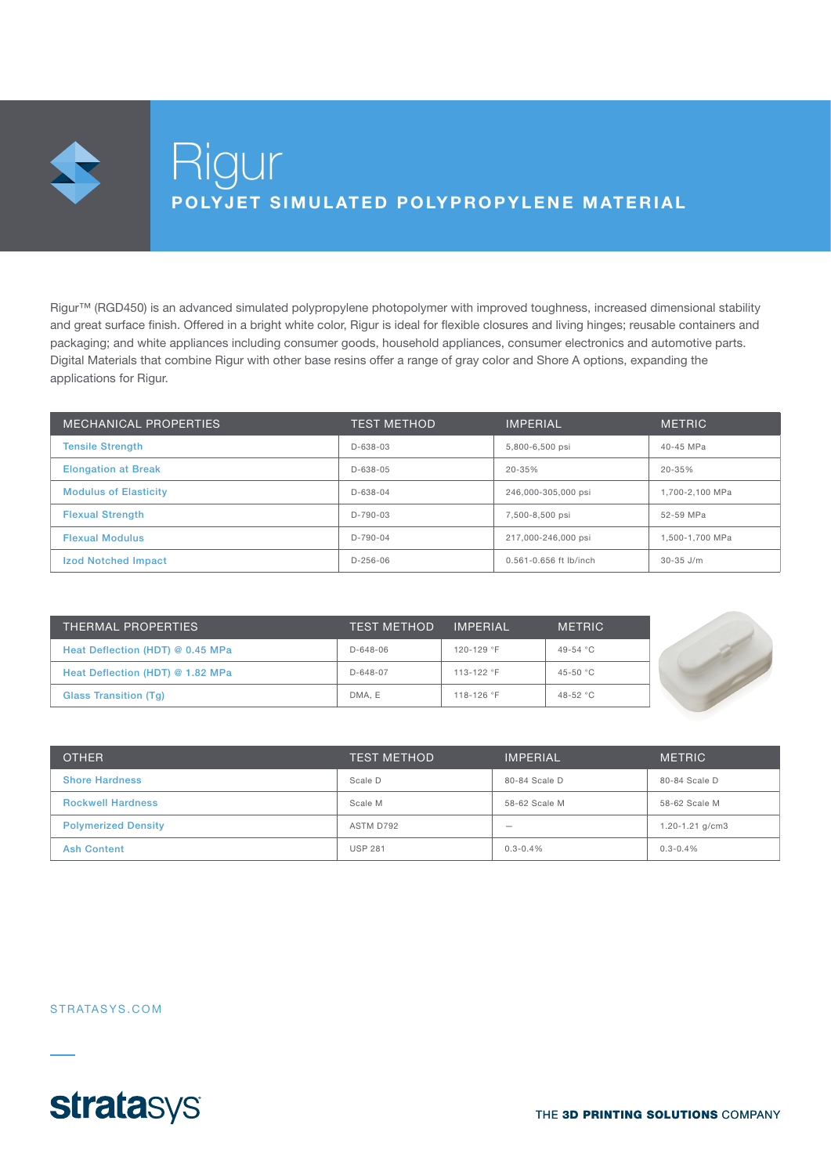Rigur™ (RGD450) is an advanced simulated polypropylene photopolymer with improved toughness, increased dimensional stability and great surface finish. Offered in a bright white color, Rigur is ideal for flexible closures and living hinges; reusable containers and packaging; and white appliances including consumer goods, household appliances, consumer electronics and automotive parts. Digital Materials that combine Rigur with other base resins offer a range of gray color and Shore A options, expanding the applications for Rigur.

| MECHANICAL PROPERTIES        | <b>TEST METHOD</b> | <b>IMPERIAL</b>            | <b>METRIC</b>   |
|------------------------------|--------------------|----------------------------|-----------------|
| <b>Tensile Strength</b>      | $D - 638 - 03$     | 5,800-6,500 psi            | 40-45 MPa       |
| <b>Elongation at Break</b>   | $D - 638 - 05$     | $20 - 35%$                 | $20 - 35%$      |
| <b>Modulus of Elasticity</b> | $D - 638 - 04$     | 246,000-305,000 psi        | 1,700-2,100 MPa |
| <b>Flexual Strength</b>      | $D-790-03$         | 7,500-8,500 psi            | 52-59 MPa       |
| <b>Flexual Modulus</b>       | $D-790-04$         | 217,000-246,000 psi        | 1.500-1.700 MPa |
| <b>Izod Notched Impact</b>   | $D-256-06$         | $0.561 - 0.656$ ft lb/inch | $30-35$ J/m     |

| THERMAL PROPERTIES               | <b>TEST METHOD</b> | <b>IMPERIAL</b> | <b>METRIC</b> |  |
|----------------------------------|--------------------|-----------------|---------------|--|
| Heat Deflection (HDT) @ 0.45 MPa | $D - 648 - 06$     | 120-129 °F      | 49-54 °C      |  |
| Heat Deflection (HDT) @ 1.82 MPa | $D-648-07$         | 113-122 °F      | 45-50 °C      |  |
| <b>Glass Transition (Tg)</b>     | DMA, E             | 118-126 °F      | 48-52 °C      |  |

| <b>OTHER</b>               | <b>TEST METHOD</b> | <b>IMPERIAL</b> | <b>METRIC</b>       |
|----------------------------|--------------------|-----------------|---------------------|
| <b>Shore Hardness</b>      | Scale D            | 80-84 Scale D   | 80-84 Scale D       |
| <b>Rockwell Hardness</b>   | Scale M            | 58-62 Scale M   | 58-62 Scale M       |
| <b>Polymerized Density</b> | ASTM D792          | –               | $1.20 - 1.21$ g/cm3 |
| <b>Ash Content</b>         | <b>USP 281</b>     | $0.3 - 0.4%$    | $0.3 - 0.4%$        |

#### STRATASYS.COM